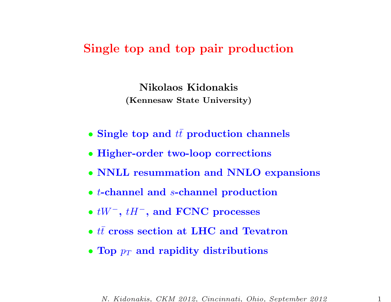# Single top and top pair production

Nikolaos Kidonakis (Kennesaw State University)

- Single top and  $t\bar{t}$  production channels
- Higher-order two-loop corrections
- NNLL resummation and NNLO expansions
- *t*-channel and *s*-channel production
- $\bullet$  tW  $^-,$   $tH^-,$  and  $\rm FCNC$  processes
- $\bullet$   $t\bar{t}$  cross section at LHC and Tevatron
- Top  $p_T$  and rapidity distributions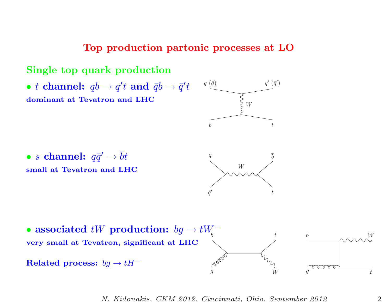### Top production partonic processes at LO



N. Kidonakis, CKM 2012, Cincinnati, Ohio, September 2012

t

W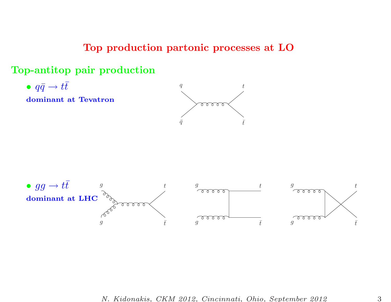## Top production partonic processes at LO

## Top-antitop pair production

•  $q\bar{q} \rightarrow t$ 

dominant at Tevatron



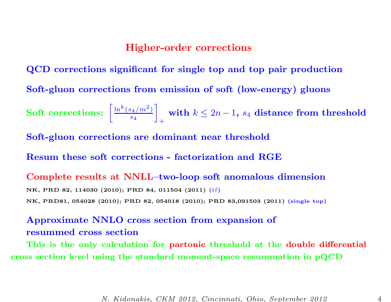### Higher-order corrections

QCD corrections significant for single top and top pair production Soft-gluon corrections from emission of soft (low-energy) <sup>g</sup>luons Soft corrections:  $\left[\frac{\ln^k(s_4/m^2)}{s_4}\right]_+$  with  $k \leq 2n-1$ ,  $s_4$  distance from threshold Soft-gluon corrections are dominant near threshold Resum these soft corrections - factorization and RGE Complete results at NNLL–two-loop soft anomalous dimension NK, PRD 82, 114030 (2010); PRD 84, 011504 (2011)  $(t\bar{t})$ NK, PRD81, <sup>054028</sup> (2010); PRD 82, <sup>054018</sup> (2010); PRD 83,091503 (2011) (single top)

## Approximate NNLO cross section from expansion of resummed cross section

This is the only calculation for partonic threshold at the double differential cross section level using the standard moment-space resummation in pQCD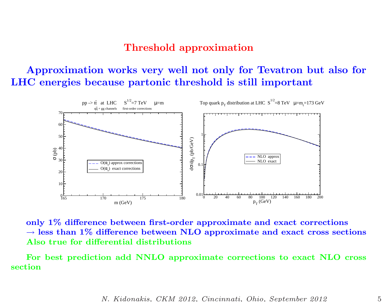## Threshold approximation

# Approximation works very well not only for Tevatron but also for LHC energies because partonic threshold is still important



only 1% difference between first-order approximate and exact corrections  $\rightarrow$  less than 1% difference between NLO approximate and exact cross sections Also true for differential distributions

For best prediction add NNLO approximate corrections to exact NLO cross section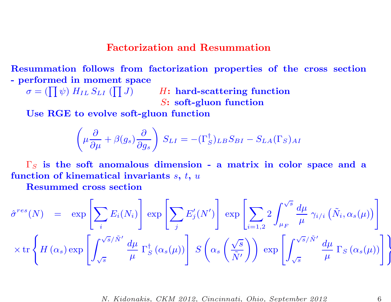### Factorization and Resummation

Resummation follows from factorization properties of the cross section - performed in moment space

 $\sigma = (\prod \psi) \ H_{IL} \ S_{LI} \ (\prod J) \hspace{1cm} H \colon \textbf{hard-scattering function}$ S: soft-gluon function

Use RGE to evolve soft-gluon function

$$
\left(\mu \frac{\partial}{\partial \mu} + \beta(g_s) \frac{\partial}{\partial g_s}\right) S_{LI} = -(\Gamma_S^{\dagger})_{LB} S_{BI} - S_{LA}(\Gamma_S)_{AI}
$$

 $\Gamma_S$  is the soft anomalous dimension - a matrix in color space and a function of kinematical invariants  $s,\,t,\,u$ 

Resummed cross section

$$
\hat{\sigma}^{res}(N) = \exp\left[\sum_{i} E_{i}(N_{i})\right] \exp\left[\sum_{j} E'_{j}(N')\right] \exp\left[\sum_{i=1,2} 2 \int_{\mu_{F}}^{\sqrt{s}} \frac{d\mu}{\mu} \gamma_{i/i} \left(\tilde{N}_{i}, \alpha_{s}(\mu)\right)\right]
$$

$$
\times \operatorname{tr}\left\{H(\alpha_{s}) \exp\left[\int_{\sqrt{s}}^{\sqrt{s}/\tilde{N}'} \frac{d\mu}{\mu} \Gamma_{S}^{\dagger}(\alpha_{s}(\mu))\right] S\left(\alpha_{s}\left(\frac{\sqrt{s}}{\tilde{N}'}\right)\right) \exp\left[\int_{\sqrt{s}}^{\sqrt{s}/\tilde{N}'} \frac{d\mu}{\mu} \Gamma_{S}(\alpha_{s}(\mu))\right]\right\}
$$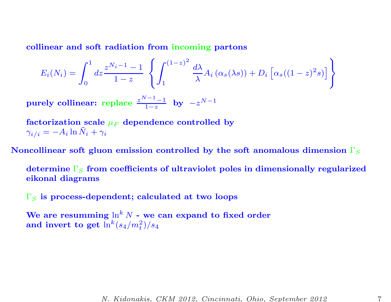collinear and soft radiation from incoming partons

$$
E_i(N_i) = \int_0^1 dz \frac{z^{N_i - 1} - 1}{1 - z} \left\{ \int_1^{(1 - z)^2} \frac{d\lambda}{\lambda} A_i (\alpha_s(\lambda s)) + D_i \left[ \alpha_s ((1 - z)^2 s) \right] \right\}
$$

purely collinear: replace  $\frac{z^{N-1}-1}{1-z}$  by  $-z^{N-1}$ 

factorization scale  $\mu_F$  dependence controlled by  $\gamma_{i/i} = -A_i \ln \tilde{N}_i + \gamma_i$ 

Noncollinear soft gluon emission controlled by the soft anomalous dimension  $\Gamma_S$ 

determine  $\Gamma_{\rm S}$  from coefficients of ultraviolet poles in dimensionally regularized eikonal diagrams

 $\Gamma_{S}$  is process-dependent; calculated at two loops

We are resumming  $\ln^k N$  - we can expand to fixed order and invert to get  $\ln^k(s_4/m_t^2)/s_4$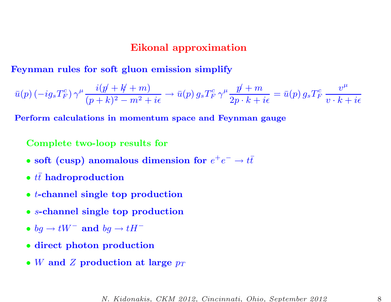### Eikonal approximation

Feynman rules for soft gluon emission simplify

$$
\bar{u}(p) \left(-ig_sT_F^c\right) \gamma^\mu \frac{i(p\!\!\!/ +k\!\!\!/ +m)}{(p+k)^2-m^2+i\epsilon} \to \bar{u}(p)\, g_sT_F^c\, \gamma^\mu \frac{p\!\!\!/ +m}{2p\cdot k+i\epsilon} = \bar{u}(p)\, g_sT_F^c\, \frac{v^\mu}{v\cdot k+i\epsilon}
$$

Perform calculations in momentum space and Feynman gauge

Complete two-loop results for

- soft (cusp) anomalous dimension for  $e^+e^- \rightarrow t\bar{t}$
- $t\bar{t}$  hadroproduction
- t-channel single top production
- <sup>s</sup>-channel single top production
- bg  $\rightarrow tW^-$  and bg  $\rightarrow tH^-$
- direct photon production
- W and Z production at large  $p_T$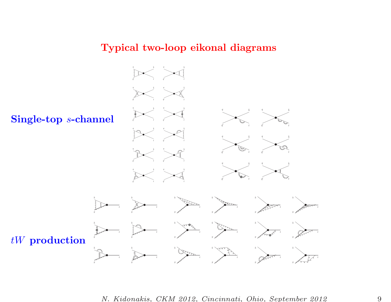### Typical two-loop eikonal diagrams



N. Kidonakis, CKM 2012, Cincinnati, Ohio, September 2012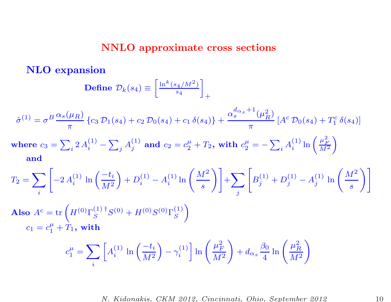## NNLO approximate cross sections

NLO expansion

$$
\textbf{Define }\mathcal{D}_k(s_4)\equiv\left[\tfrac{\ln^k(s_4/M^2)}{s_4}\right]_+
$$

$$
\hat{\sigma}^{(1)} = \sigma^B \frac{\alpha_s(\mu_R)}{\pi} \left\{ c_3 \, \mathcal{D}_1(s_4) + c_2 \, \mathcal{D}_0(s_4) + c_1 \, \delta(s_4) \right\} + \frac{\alpha_s^{d_{\alpha_s}+1}(\mu_R^2)}{\pi} \left[ A^c \, \mathcal{D}_0(s_4) + T_1^c \, \delta(s_4) \right]
$$

where 
$$
c_3 = \sum_i 2 A_i^{(1)} - \sum_j A_j^{(1)}
$$
 and  $c_2 = c_2^{\mu} + T_2$ , with  $c_2^{\mu} = -\sum_i A_i^{(1)} \ln \left( \frac{\mu_F^2}{M^2} \right)$   
and

$$
T_2 = \sum_{i} \left[ -2 A_i^{(1)} \ln \left( \frac{-t_i}{M^2} \right) + D_i^{(1)} - A_i^{(1)} \ln \left( \frac{M^2}{s} \right) \right] + \sum_{j} \left[ B_j^{(1)} + D_j^{(1)} - A_j^{(1)} \ln \left( \frac{M^2}{s} \right) \right]
$$

Also  $A^c = \text{tr}$  $\left($  $H^{(0)}\Gamma^{(1)\;\dagger}_{\scriptscriptstyle{\rm C}}$  $S^{(1)\;\dagger}S^{(0)}+H^{(0)}S^{(0)}\Gamma_S^{(1)}$  $\left.\rule{0pt}{12pt}\right)$  $c_1 = c_1^{\mu}$  $\frac{\mu}{1} + T_1, \text{ with}$ 

$$
c_1^{\mu} = \sum_i \left[ A_i^{(1)} \ln \left( \frac{-t_i}{M^2} \right) - \gamma_i^{(1)} \right] \ln \left( \frac{\mu_F^2}{M^2} \right) + d_{\alpha_s} \frac{\beta_0}{4} \ln \left( \frac{\mu_R^2}{M^2} \right)
$$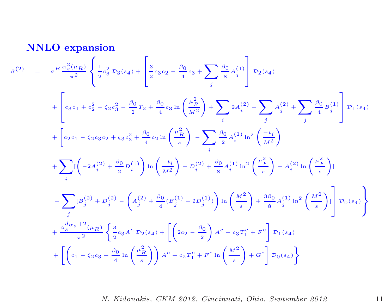NNLO expansion

$$
\hat{\sigma}^{(2)} = \sigma^B \frac{\alpha_s^2(\mu_R)}{\pi^2} \left\{ \frac{1}{2} c_3^2 \mathcal{D}_3(s_4) + \left[ \frac{3}{2} c_3 c_2 - \frac{\beta_0}{4} c_3 + \sum_j \frac{\beta_0}{8} A_j^{(1)} \right] \mathcal{D}_2(s_4) \right.\n+ \left[ c_3 c_1 + c_2^2 - c_2 c_3^2 - \frac{\beta_0}{2} T_2 + \frac{\beta_0}{4} c_3 \ln \left( \frac{\mu_R^2}{M^2} \right) + \sum_i 2 A_i^{(2)} - \sum_j A_j^{(2)} + \sum_j \frac{\beta_0}{4} B_j^{(1)} \right] \mathcal{D}_1(s_4) \n+ \left[ c_2 c_1 - c_2 c_3 c_2 + c_3 c_3^2 + \frac{\beta_0}{4} c_2 \ln \left( \frac{\mu_R^2}{s} \right) - \sum_i \frac{\beta_0}{2} A_i^{(1)} \ln^2 \left( \frac{-t_i}{M^2} \right) \right.\n+ \sum_i \left[ \left( -2 A_i^{(2)} + \frac{\beta_0}{2} D_i^{(1)} \right) \ln \left( \frac{-t_i}{M^2} \right) + D_i^{(2)} + \frac{\beta_0}{8} A_i^{(1)} \ln^2 \left( \frac{\mu_R^2}{s} \right) - A_i^{(2)} \ln \left( \frac{\mu_R^2}{s} \right) \right] \n+ \sum_j \left[ B_j^{(2)} + D_j^{(2)} - \left( A_j^{(2)} + \frac{\beta_0}{4} (B_j^{(1)} + 2 D_j^{(1)}) \right) \ln \left( \frac{M^2}{s} \right) + \frac{3\beta_0}{8} A_j^{(1)} \ln^2 \left( \frac{M^2}{s} \right) \right] \mathcal{D}_0(s_4) \right\} \n+ \frac{\alpha_s^d \alpha_s + 2}{\pi^2} \left\{ \frac{3}{2} c_3 A^c \mathcal{D}_2(s_4) + \left[ \left( 2c_2 - \frac{\beta_0}{2} \right) A^c + c_3 T_1^c + F^c \right] \mathcal{D}_1(s_4) \n+ \left[ \left( c_1 - c_2 c_3 + \frac{\beta_0}{4}
$$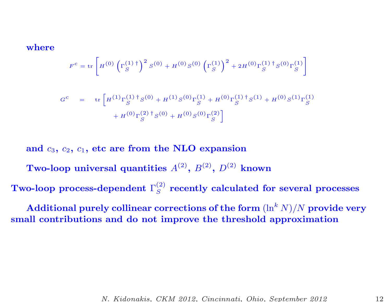where

$$
F^{c} = \text{tr}\left[ H^{(0)} \left( \Gamma_S^{(1) \, \dagger} \right)^2 S^{(0)} + H^{(0)} S^{(0)} \left( \Gamma_S^{(1)} \right)^2 + 2 H^{(0)} \Gamma_S^{(1) \, \dagger} S^{(0)} \Gamma_S^{(1)} \right]
$$

$$
G^{c} = \text{tr}\left[H^{(1)}\Gamma_{S}^{(1) \dagger}S^{(0)} + H^{(1)}S^{(0)}\Gamma_{S}^{(1)} + H^{(0)}\Gamma_{S}^{(1) \dagger}S^{(1)} + H^{(0)}S^{(1)}\Gamma_{S}^{(1)}\right]
$$

$$
+ H^{(0)}\Gamma_{S}^{(2) \dagger}S^{(0)} + H^{(0)}S^{(0)}\Gamma_{S}^{(2)}\right]
$$

and  $c_3$ ,  $c_2$ ,  $c_1$ , etc are from the NLO expansion

Two-loop universal quantities  $A^{(2)}$ ,  $B^{(2)}$ ,  $D^{(2)}$  known

Two-loop process-dependent  $\Gamma_S^{(2)}$  recently calculated for several processes

Additional purely collinear corrections of the form  $(\ln^k N)/N$  provide very small contributions and do not improve the threshold approximation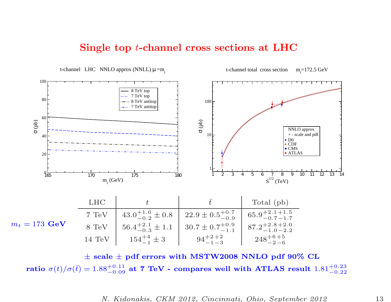### Single top <sup>t</sup>-channel cross sections at LHC



 $\pm$  scale  $\pm$  pdf errors with MSTW2008 NNLO pdf 90% CL ratio  $\sigma(t)/\sigma(\bar{t}) = 1.88^{+0.11}_{-0.09}$  at 7 TeV - compares well with ATLAS result  $1.81^{+0.23}_{-0.22}$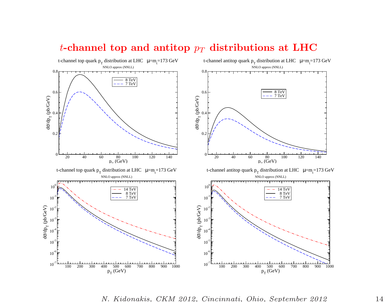

## t-channel top and antitop  $p_T$  distributions at LHC

N. Kidonakis, CKM 2012, Cincinnati, Ohio, September 2012 14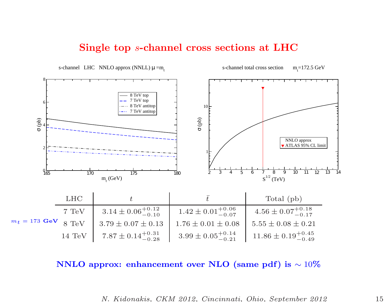### Single top <sup>s</sup>-channel cross sections at LHC



NNLO approx: enhancement over NLO (same pdf) is  $\sim 10\%$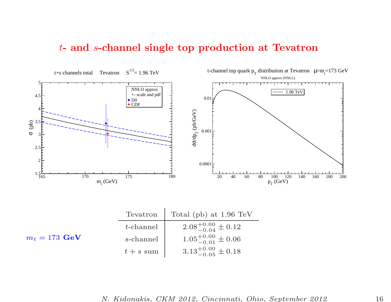### t- and <sup>s</sup>-channel single top production at Tevatron

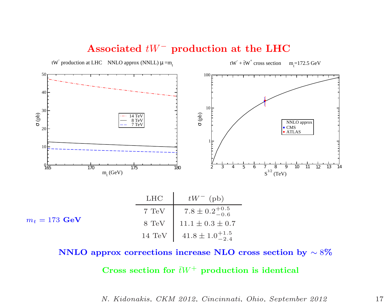

## Associated  $tW^-$  production at the LHC

NNLO approx corrections increase NLO cross section by  $\sim 8\%$ 

Cross section for  $\bar{t}W^+$  production is identical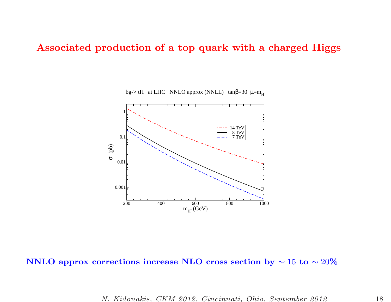## Associated production of <sup>a</sup> top quark with <sup>a</sup> charged Higgs



bg-> tH<sup> $\cdot$ </sup> at LHC NNLO approx (NNLL) tan $\beta$ =30  $\mu$ =m<sub>H</sub>

### $\mathbf{NNLO}$  approx corrections increase  $\mathbf{NLO}$  cross section by  $\sim 15$  to  $\sim 20\%$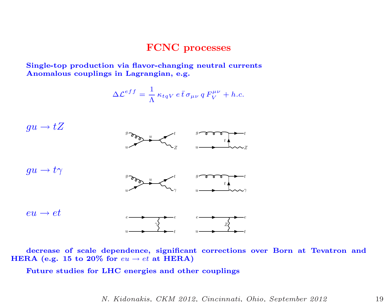### FCNC processes

Single-top production via flavor-changing neutral currents Anomalous couplings in Lagrangian, e.g.

$$
\Delta \mathcal{L}^{eff} = \frac{1}{\Lambda} \kappa_{tqV} e \bar{t} \,\sigma_{\mu\nu} q F_V^{\mu\nu} + h.c.
$$



decrease of scale dependence, significant corrections over Born at Tevatron and HERA (e.g. 15 to 20% for  $eu \rightarrow et$  at HERA)

Future studies for LHC energies and other couplings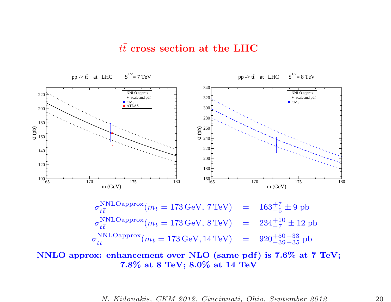### $t\bar{t}$  cross section at the LHC

165 170 175 180 m (GeV)  $100 - 65$ 120 140  $\widehat{\mathcal{L}}_{\mathsf{D}}$  160 180 200 220 NNLO approx +- scale and pdf ■ CMS ATLAS pp -> tt at LHC  $S^{1/2} = 7$  TeV 165 170 175 180 m (GeV)  $160\frac{1}{65}$ 180 200 220 240  $\frac{2}{6}$   $\frac{260}{240}$ 280 300 320 340 NNLO approx +- scale and pdf ■ CMS pp -> tt at LHC  $S^{1/2} = 8$  TeV  $\sigma_{t\bar{t}}^{\mathrm{NNLO}approx}(m_t = 173\,\mathrm{GeV},\,7\,\mathrm{TeV})$  =  $163^{+7}_{-5} \pm 9$  pb  $\sigma_{t\bar{t}}^{\text{NNLOapprox}}(m_t = 173 \,\text{GeV}, 8 \,\text{TeV})$  =  $234^{+10}_{-7} \pm 12 \,\text{pb}$  $\sigma_{t\bar{t}}^{\text{NNLOapprox}}(m_t = 173 \,\text{GeV}, 14 \,\text{TeV}) = 920^{+50 + 33}_{-39 - 35} \text{pb}$ 

### NNLO approx: enhancement over NLO (same pdf) is 7.6% at 7 TeV; 7.8% at <sup>8</sup> TeV; 8.0% at <sup>14</sup> TeV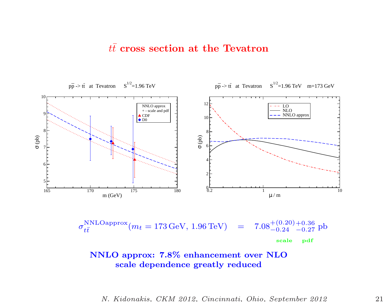## $t\bar{t}$  cross section at the Tevatron



$$
\sigma_{t\bar{t}}^{\text{NNLOapprox}}(m_t = 173 \,\text{GeV}, 1.96 \,\text{TeV}) = 7.08^{+(0.20)+0.36}_{-0.24} \,\text{pb}
$$
\nscale.pdf

NNLO approx: 7.8% enhancement over NLO scale dependence greatly reduced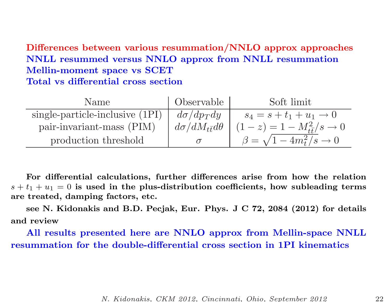Differences between various resummation/NNLO approx approaches NNLL resummed versus NNLO approx from NNLL resummation Mellin-moment space vs SCET Total vs differential cross section

| Name                            | ' Observable                   | Soft limit                                |
|---------------------------------|--------------------------------|-------------------------------------------|
| single-particle-inclusive (1PI) | $d\sigma/dp_Tdy$               | $s_4 = s + t_1 + u_1 \to 0$               |
| pair-invariant-mass (PIM)       | $d\sigma/dM_{t\bar{t}}d\theta$ | $(1-z) = 1 - M_{\tilde{t}t}^2/s \to 0$    |
| production threshold            |                                | $\beta = \sqrt{1-4m_t^2/s} \rightarrow 0$ |

For differential calculations, further differences arise from how the relation  $s + t_1 + u_1 = 0$  is used in the plus-distribution coefficients, how subleading terms are treated, damping factors, etc.

see N. Kidonakis and B.D. Pecjak, Eur. Phys. <sup>J</sup> C 72, <sup>2084</sup> (2012) for details and review

All results presented here are NNLO approx from Mellin-space NNLL resummation for the double-differential cross section in 1PI kinematics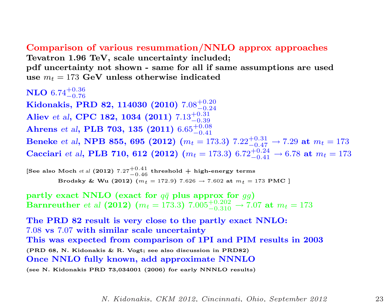### Comparison of various resummation/NNLO approx approaches

Tevatron 1.96 TeV, scale uncertainty included; pdf uncertainty not shown - same for all if same assumptions are used use  $m_t = 173 \,\, \mathrm{GeV}$  unless otherwise indicated

 $\bf NLO$   $6.74^{+0.36}_{-0.76}$ 

 $\mathbf{K}$ idonakis, PRD 82, 114030 (2010) 7.08 $^{+0.20}_{-0.24}$ Aliev et al, CPC 182, 1034 (2011)  $7.13^{+0.31}_{-0.39}$  $\rm{Ahrens}$  et al,  $\rm{PLB}$   $\rm{703},$   $\rm{135}$   $\rm{(2011)}$   $\rm{6.65_{-0.41}^{+0.08}}$ Beneke  $et$  al, NPB 855, 695 (2012)  $(m_t = 173.3)$   $7.22^{+0.31}_{-0.47} \rightarrow 7.29$  at  $m_t = 173$  $\bf Cacciari$  et al,  $\bf{PLB}$  710, 612 (2012)  $(m_t=173.3)$   $6.72^{+0.24}_{-0.41}$   $\rightarrow$   $6.78$  at  $m_t=173$ 

[See also Moch  ${\it et}$  al (2012) 7.27 $^{+0.41}_{-0.46}$  threshold  $+$  high-energy terms  $\textbf{Brodsky} \ \& \ \textbf{Wu} \ \textbf{(2012)} \ \stackrel{\text{0.176}}{(m_t\,=172.9)} \ \text{7.626} \rightarrow \text{7.602 at} \ m_t = \text{173 PMC} \ \text{]}$ 

 $\textbf{partly exact NNLO} \text{ (exact for } q\bar{q} \text{ plus approx for } gg)$ Barnreuther et al (2012)  $(m_t = 173.3)$   $7.005_{-0.310}^{+0.202}$   $\rightarrow 7.07$  at  $m_t = 173$ 

The PRD 82 result is very close to the partly exact NNLO: 7.08 vs 7.07 with similar scale uncertainty This was expected from comparison of 1PI and PIM results in 2003 (PRD 68, N. Kidonakis & R. Vogt; see also discussion in PRD82) Once NNLO fully known, add approximate NNNLO (see N. Kidonakis PRD 73,034001 (2006) for early NNNLO results)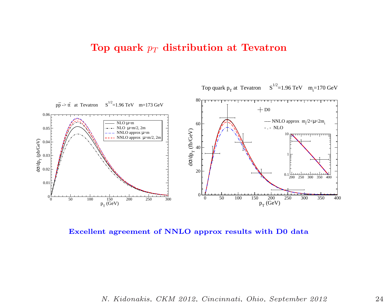# Top quark  $p_T$  distribution at Tevatron



Excellent agreement of NNLO approx results with D0 data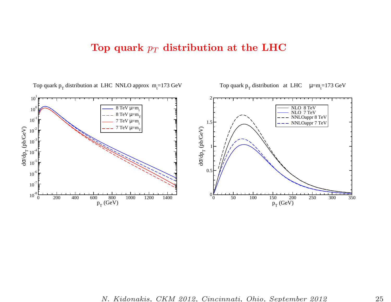## Top quark  $p_T$  distribution at the LHC



Top quark  $p_T$  distribution at LHC  $\mu=m_r=173 \text{ GeV}$ 

N. Kidonakis, CKM 2012, Cincinnati, Ohio, September 2012 25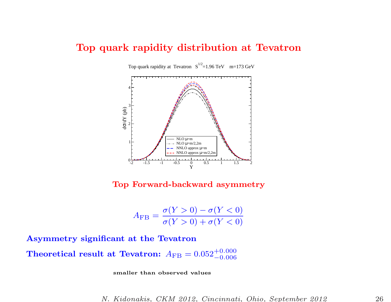### Top quark rapidity distribution at Tevatron



Top Forward-backward asymmetry

$$
A_{\rm FB} = \frac{\sigma(Y > 0) - \sigma(Y < 0)}{\sigma(Y > 0) + \sigma(Y < 0)}
$$

Asymmetry significant at the Tevatron

 $\bf Theoretical\; result\; at\; Tevatron: \; A_{FB} = 0.052^{+0.000}_{-0.006}$ 

smaller than observed values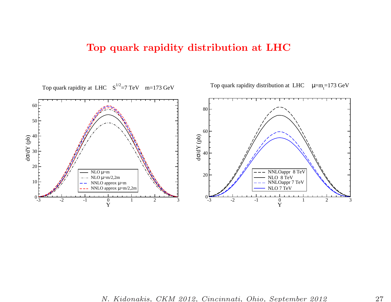# Top quark rapidity distribution at LHC



N. Kidonakis, CKM 2012, Cincinnati, Ohio, September 2012 27